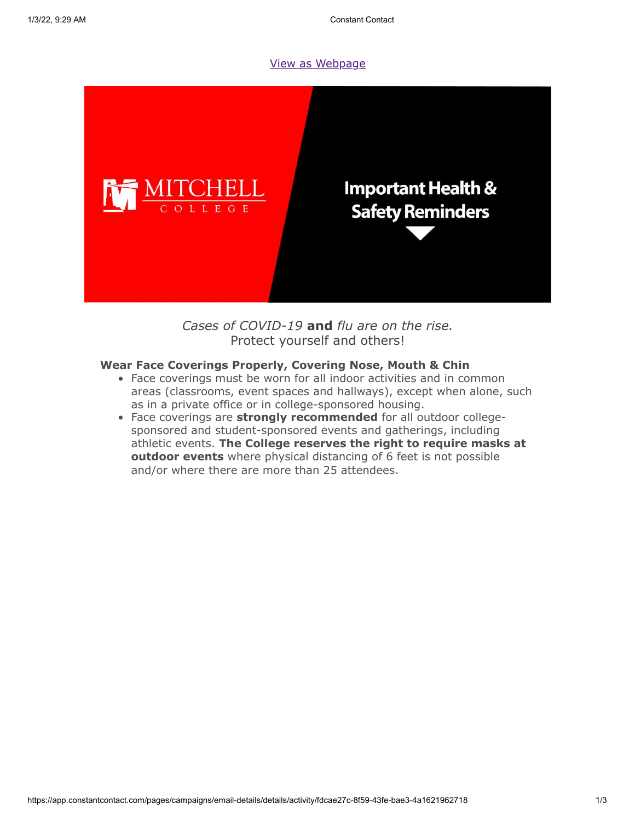#### [View as Webpage](https://campaignlp.constantcontact.com/em/1119223208753/fdcae27c-8f59-43fe-bae3-4a1621962718)



*Cases of COVID-19* **and** *flu are on the rise.* Protect yourself and others!

# **Wear Face Coverings Properly, Covering Nose, Mouth & Chin**

- Face coverings must be worn for all indoor activities and in common areas (classrooms, event spaces and hallways), except when alone, such as in a private office or in college-sponsored housing.
- Face coverings are **strongly recommended** for all outdoor collegesponsored and student-sponsored events and gatherings, including athletic events. **The College reserves the right to require masks at outdoor events** where physical distancing of 6 feet is not possible and/or where there are more than 25 attendees.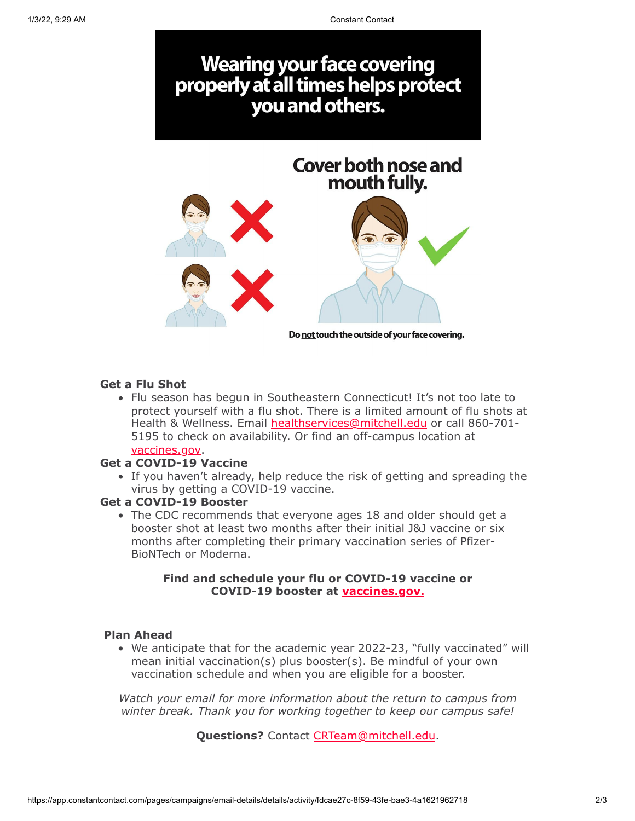

# **Get a Flu Shot**

• Flu season has begun in Southeastern Connecticut! It's not too late to protect yourself with a flu shot. There is a limited amount of flu shots at Health & Wellness. Email [healthservices@mitchell.edu](mailto:healthservices@mitchell.edu) or call 860-701- 5195 to check on availability. Or find an off-campus location at vaccines.gov.

### **Get a COVID-19 Vaccine**

If you haven't already, help reduce the risk of getting and spreading the virus by getting a COVID-19 vaccine.

#### **Get a COVID-19 Booster**

The CDC recommends that everyone ages 18 and older should get a booster shot at least two months after their initial J&J vaccine or six months after completing their primary vaccination series of Pfizer-BioNTech or Moderna.

# **Find and schedule your flu or COVID-19 vaccine or COVID-19 booster at vaccines.gov.**

#### **Plan Ahead**

We anticipate that for the academic year 2022-23, "fully vaccinated" will mean initial vaccination(s) plus booster(s). Be mindful of your own vaccination schedule and when you are eligible for a booster.

*Watch your email for more information about the return to campus from winter break. Thank you for working together to keep our campus safe!*

**Questions?** Contact [CRTeam@mitchell.edu.](mailto:CRTeam@mitchell.edu)